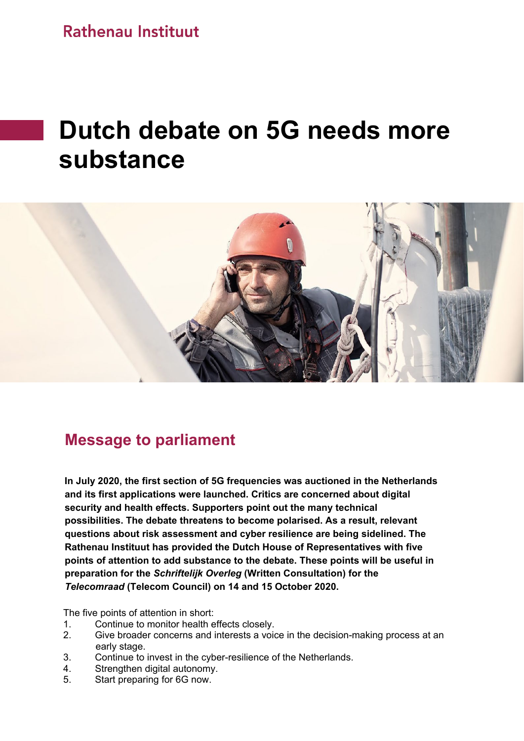**Rathenau Instituut** 

# **Dutch debate on 5G needs more substance**



## **Message to parliament**

 **In July 2020, the first section of 5G frequencies was auctioned in the Netherlands and its first applications were launched. Critics are concerned about digital security and health effects. Supporters point out the many technical possibilities. The debate threatens to become polarised. As a result, relevant questions about risk assessment and cyber resilience are being sidelined. The Rathenau Instituut has provided the Dutch House of Representatives with five points of attention to add substance to the debate. These points will be useful in preparation for the** *Schriftelijk Overleg* **(Written Consultation) for the**  *Telecomraad* **(Telecom Council) on 14 and 15 October 2020.**

The five points of attention in short:

- 1. Continue to monitor health effects closely.
- 2. Give broader concerns and interests a voice in the decision-making process at an early stage.<br>3. Continue to
- 3. Continue to invest in the cyber-resilience of the Netherlands.<br>4 Strengthen digital autonomy
- Strengthen digital autonomy.
- 5. Start preparing for 6G now.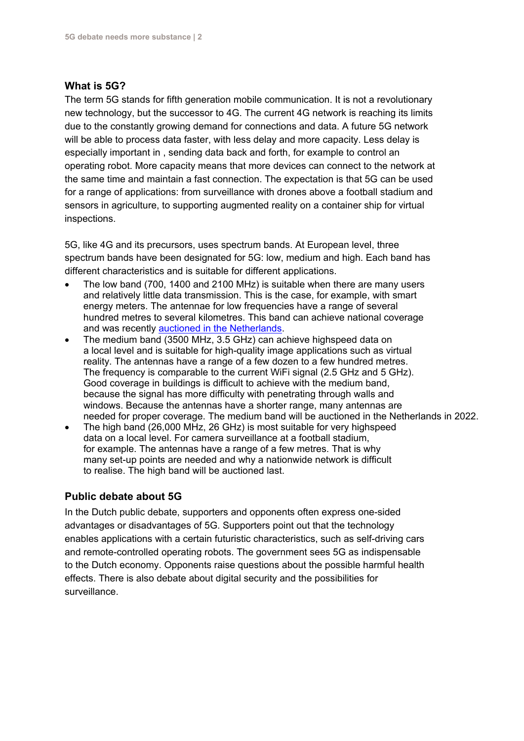#### **What is 5G?**

The term 5G stands for fifth generation mobile communication. It is not a revolutionary new technology, but the successor to 4G. The current 4G network is reaching its limits due to the constantly growing demand for connections and data. A future 5G network will be able to process data faster, with less delay and more capacity. Less delay is especially important in , sending data back and forth, for example to control an operating robot. More capacity means that more devices can connect to the network at the same time and maintain a fast connection. The expectation is that 5G can be used for a range of applications: from surveillance with drones above a football stadium and sensors in agriculture, to supporting augmented reality on a container ship for virtual inspections.

5G, like 4G and its precursors, uses spectrum bands. At European level, three spectrum bands have been designated for 5G: low, medium and high. Each band has different characteristics and is suitable for different applications.

- The low band (700, 1400 and 2100 MHz) is suitable when there are many users and relatively little data transmission. This is the case, for example, with smart energy meters. The antennae for low frequencies have a range of several hundred metres to several kilometres. This band can achieve national coverage and was recently [auctioned](https://www.rijksoverheid.nl/actueel/nieuws/2020/07/21/kpn-t-mobile-en-vodafoneziggo-verwerven-frequenties-via-nederlandse-veiling-mobiele-communicatie) in the Netherlands.
- The medium band (3500 MHz, 3.5 GHz) can achieve highspeed data on a local level and is suitable for high-quality image applications such as virtual reality. The antennas have a range of a few dozen to a few hundred metres. The frequency is comparable to the current WiFi signal (2.5 GHz and 5 GHz). Good coverage in buildings is difficult to achieve with the medium band, because the signal has more difficulty with penetrating through walls and windows. Because the antennas have a shorter range, many antennas are needed for proper coverage. The medium band will be auctioned in the Netherlands in 2022.
- The high band (26,000 MHz, 26 GHz) is most suitable for very highspeed data on a local level. For camera surveillance at a football stadium, for example. The antennas have a range of a few metres. That is why many set-up points are needed and why a nationwide network is difficult to realise. The high band will be auctioned last.

#### **Public debate about 5G**

In the Dutch public debate, supporters and opponents often express one-sided advantages or disadvantages of 5G. Supporters point out that the technology enables applications with a certain futuristic characteristics, such as self-driving cars and remote-controlled operating robots. The government sees 5G as indispensable to the Dutch economy. Opponents raise questions about the possible harmful health effects. There is also debate about digital security and the possibilities for surveillance.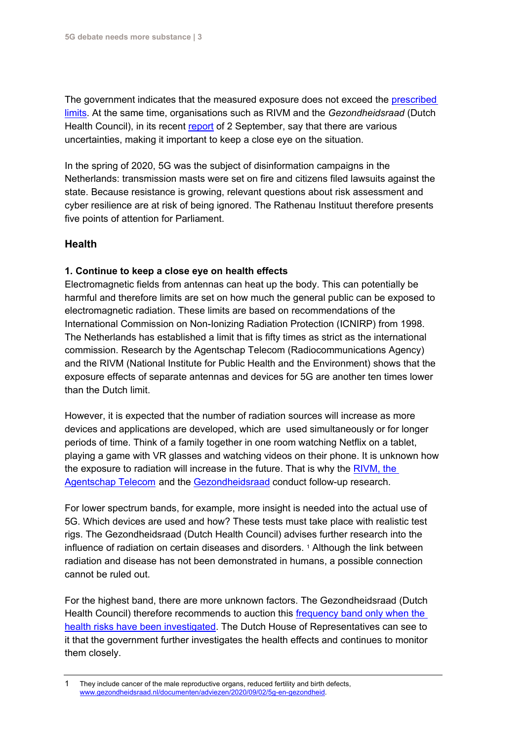The government indicates that the measured exposure does not exceed the [prescribed](https://www.rijksoverheid.nl/documenten/publicaties/2020/07/17/5g-straling-en-gezondheid-hoe-is-dat-geregeld-in-nederland)  [limits.](https://www.rijksoverheid.nl/documenten/publicaties/2020/07/17/5g-straling-en-gezondheid-hoe-is-dat-geregeld-in-nederland) At the same time, organisations such as RIVM and the *Gezondheidsraad* (Dutch Health Council), in its recent [report](https://www.gezondheidsraad.nl/documenten/adviezen/2020/09/02/5g-en-gezondheid) of 2 September, say that there are various uncertainties, making it important to keep a close eye on the situation.

In the spring of 2020, 5G was the subject of disinformation campaigns in the Netherlands: transmission masts were set on fire and citizens filed lawsuits against the state. Because resistance is growing, relevant questions about risk assessment and cyber resilience are at risk of being ignored. The Rathenau Instituut therefore presents five points of attention for Parliament.

#### **Health**

#### **1. Continue to keep a close eye on health effects**

Electromagnetic fields from antennas can heat up the body. This can potentially be harmful and therefore limits are set on how much the general public can be exposed to electromagnetic radiation. These limits are based on recommendations of the International Commission on Non-Ionizing Radiation Protection (ICNIRP) from 1998. The Netherlands has established a limit that is fifty times as strict as the international commission. Research by the Agentschap Telecom (Radiocommunications Agency) and the RIVM (National Institute for Public Health and the Environment) shows that the exposure effects of separate antennas and devices for 5G are another ten times lower than the Dutch limit.

However, it is expected that the number of radiation sources will increase as more devices and applications are developed, which are used simultaneously or for longer periods of time. Think of a family together in one room watching Netflix on a tablet, playing a game with VR glasses and watching videos on their phone. It is unknown how the exposure to radiation will increase in the future. That is why the [RIVM, the](https://www.rivm.nl/nieuws/vinger-aan-pols-bij-uitrol-5g-belangrijk) [Agentschap Telecom](https://www.rivm.nl/nieuws/vinger-aan-pols-bij-uitrol-5g-belangrijk) and the [Gezondheidsraad](https://www.gezondheidsraad.nl/documenten/adviezen/2020/09/02/5g-en-gezondheid) conduct follow-up research.

For lower spectrum bands, for example, more insight is needed into the actual use of 5G. Which devices are used and how? These tests must take place with realistic test rigs. The Gezondheidsraad (Dutch Health Council) advises further research into the influence of radiation on certain diseases and disorders. [1](#page-2-0) Although the link between radiation and disease has not been demonstrated in humans, a possible connection cannot be ruled out.

For the highest band, there are more unknown factors. The Gezondheidsraad (Dutch Health Council) therefore recommends to auction this [frequency band only when the](https://www.gezondheidsraad.nl/documenten/adviezen/2020/09/02/5g-en-gezondheid)  [health risks have been investigated.](https://www.gezondheidsraad.nl/documenten/adviezen/2020/09/02/5g-en-gezondheid) The Dutch House of Representatives can see to it that the government further investigates the health effects and continues to monitor them closely.

<span id="page-2-0"></span><sup>1</sup> They include cancer of the male reproductive organs, reduced fertility and birth defects, [www.gezondheidsraad.nl/documenten/adviezen/2020/09/02/5g-en-gezondheid.](http://www.gezondheidsraad.nl/documenten/adviezen/2020/09/02/5g-en-gezondheid)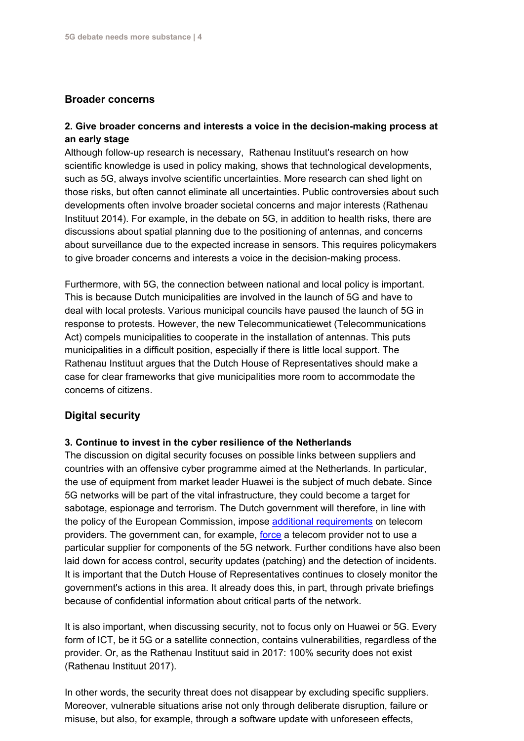#### **Broader concerns**

#### **2. Give broader concerns and interests a voice in the decision-making process at an early stage**

Although follow-up research is necessary, Rathenau Instituut's research on how scientific knowledge is used in policy making, shows that technological developments, such as 5G, always involve scientific uncertainties. More research can shed light on those risks, but often cannot eliminate all uncertainties. Public controversies about such developments often involve broader societal concerns and major interests (Rathenau Instituut 2014). For example, in the debate on 5G, in addition to health risks, there are discussions about spatial planning due to the positioning of antennas, and concerns about surveillance due to the expected increase in sensors. This requires policymakers to give broader concerns and interests a voice in the decision-making process.

Furthermore, with 5G, the connection between national and local policy is important. This is because Dutch municipalities are involved in the launch of 5G and have to deal with local protests. Various municipal councils have paused the launch of 5G in response to protests. However, the new Telecommunicatiewet (Telecommunications Act) compels municipalities to cooperate in the installation of antennas. This puts municipalities in a difficult position, especially if there is little local support. The Rathenau Instituut argues that the Dutch House of Representatives should make a case for clear frameworks that give municipalities more room to accommodate the concerns of citizens.

### **Digital security**

#### **3. Continue to invest in the cyber resilience of the Netherlands**

The discussion on digital security focuses on possible links between suppliers and countries with an offensive cyber programme aimed at the Netherlands. In particular, the use of equipment from market leader Huawei is the subject of much debate. Since 5G networks will be part of the vital infrastructure, they could become a target for sabotage, espionage and terrorism. The Dutch government will therefore, in line with the policy of the European Commission, impose [additional requirements](https://www.rijksoverheid.nl/actueel/nieuws/2019/07/01/kabinet-zet-eerste-stap-in-bescherming-telecomnetwerken-en-5g) on telecom providers. The government can, for example, [force](https://zoek.officielebekendmakingen.nl/stb-2019-457.html) a telecom provider not to use a particular supplier for components of the 5G network. Further conditions have also been laid down for access control, security updates (patching) and the detection of incidents. It is important that the Dutch House of Representatives continues to closely monitor the government's actions in this area. It already does this, in part, through private briefings because of confidential information about critical parts of the network.

It is also important, when discussing security, not to focus only on Huawei or 5G. Every form of ICT, be it 5G or a satellite connection, contains vulnerabilities, regardless of the provider. Or, as the Rathenau Instituut said in 2017: 100% security does not exist (Rathenau Instituut 2017).

In other words, the security threat does not disappear by excluding specific suppliers. Moreover, vulnerable situations arise not only through deliberate disruption, failure or misuse, but also, for example, through a software update with unforeseen effects,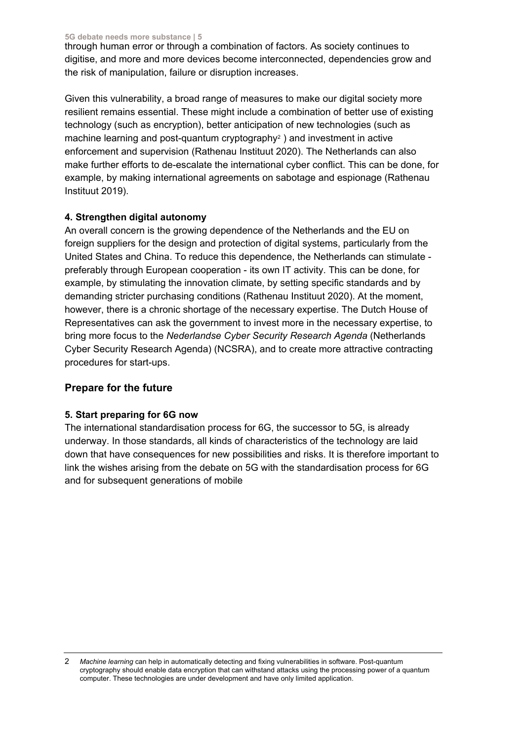**5G debate needs more substance | 5**

through human error or through a combination of factors. As society continues to digitise, and more and more devices become interconnected, dependencies grow and the risk of manipulation, failure or disruption increases.

Given this vulnerability, a broad range of measures to make our digital society more resilient remains essential. These might include a combination of better use of existing technology (such as encryption), better anticipation of new technologies (such as machine learning and post-quantum cryptography<sup>2</sup>) and investment in active enforcement and supervision (Rathenau Instituut 2020). The Netherlands can also make further efforts to de-escalate the international cyber conflict. This can be done, for example, by making international agreements on sabotage and espionage (Rathenau Instituut 2019).

#### **4. Strengthen digital autonomy**

An overall concern is the growing dependence of the Netherlands and the EU on foreign suppliers for the design and protection of digital systems, particularly from the United States and China. To reduce this dependence, the Netherlands can stimulate preferably through European cooperation - its own IT activity. This can be done, for example, by stimulating the innovation climate, by setting specific standards and by demanding stricter purchasing conditions (Rathenau Instituut 2020). At the moment, however, there is a chronic shortage of the necessary expertise. The Dutch House of Representatives can ask the government to invest more in the necessary expertise, to bring more focus to the *Nederlandse Cyber Security Research Agenda* (Netherlands Cyber Security Research Agenda) (NCSRA), and to create more attractive contracting procedures for start-ups.

### **Prepare for the future**

### **5. Start preparing for 6G now**

The international standardisation process for 6G, the successor to 5G, is already underway. In those standards, all kinds of characteristics of the technology are laid down that have consequences for new possibilities and risks. It is therefore important to link the wishes arising from the debate on 5G with the standardisation process for 6G and for subsequent generations of mobile

<span id="page-4-0"></span><sup>2</sup> *Machine learning* can help in automatically detecting and fixing vulnerabilities in software. Post-quantum cryptography should enable data encryption that can withstand attacks using the processing power of a quantum computer. These technologies are under development and have only limited application.